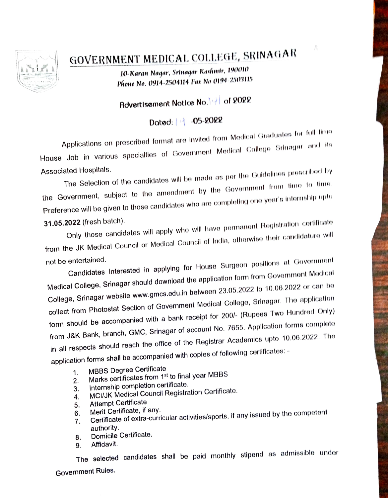

## GOVERNMENT MEDICAL COLLEGE, SRINAGAR

10-Karan Nagar, Srinagar Kashmir, 190010 Phone No. 0914-2504114 Fax No 0194-2503115

## Advertisement Notice No. 19 of 2022

## Dated: 1 -05-2022

Applications on prescribed format are invited from Medical Graduates for full time House Job in various specialties of Government Medical College Srinagar and its **Associated Hospitals.** 

The Selection of the candidates will be made as per the Guidelines prescribed by the Government, subject to the amendment by the Government from time to time. Preference will be given to those candidates who are completing one year's internship upto

31.05.2022 (fresh batch).

Only those candidates will apply who will have permanent Registration certificate from the JK Medical Council or Medical Council of India, otherwise their candidature will not be entertained.

Candidates interested in applying for House Surgeon positions at Government Medical College, Srinagar should download the application form from Government Medical College, Srinagar website www.gmcs.edu.in between 23.05.2022 to 10.06.2022 or can be collect from Photostat Section of Government Medical College, Srinagar. The application form should be accompanied with a bank receipt for 200/- (Rupees Two Hundred Only) from J&K Bank, branch, GMC, Srinagar of account No. 7655. Application forms complete in all respects should reach the office of the Registrar Academics upto 10.06.2022. The application forms shall be accompanied with copies of following certificates: -

- **MBBS Degree Certificate**  $\mathbf{1}$ .
- Marks certificates from 1st to final year MBBS  $2.$
- Internship completion certificate.
- 3. MCI/JK Medical Council Registration Certificate.
- 4. **Attempt Certificate** 5.
- Merit Certificate, if any. 6.
- Certificate of extra-curricular activities/sports, if any issued by the competent  $7<sub>1</sub>$ authority.
- Domicile Certificate. 8.
- Affidavit. 9.

The selected candidates shall be paid monthly stipend as admissible under Government Rules.

 $f_n^\lambda$